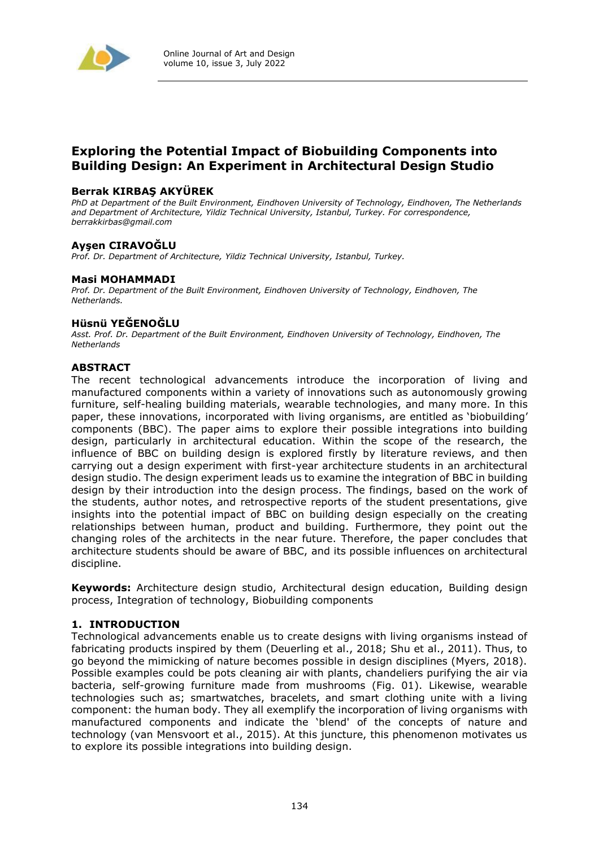

## **Exploring the Potential Impact of Biobuilding Components into Building Design: An Experiment in Architectural Design Studio**

#### **Berrak KIRBAŞ AKYÜREK**

*PhD at Department of the Built Environment, Eindhoven University of Technology, Eindhoven, The Netherlands and Department of Architecture, Yildiz Technical University, Istanbul, Turkey. For correspondence, berrakkirbas@gmail.com*

#### **Ayşen CIRAVOĞLU**

*Prof. Dr. Department of Architecture, Yildiz Technical University, Istanbul, Turkey.* 

#### **Masi MOHAMMADI**

*Prof. Dr. Department of the Built Environment, Eindhoven University of Technology, Eindhoven, The Netherlands.* 

#### **Hüsnü YEĞENOĞLU**

*Asst. Prof. Dr. Department of the Built Environment, Eindhoven University of Technology, Eindhoven, The Netherlands* 

#### **ABSTRACT**

The recent technological advancements introduce the incorporation of living and manufactured components within a variety of innovations such as autonomously growing furniture, self-healing building materials, wearable technologies, and many more. In this paper, these innovations, incorporated with living organisms, are entitled as 'biobuilding' components (BBC). The paper aims to explore their possible integrations into building design, particularly in architectural education. Within the scope of the research, the influence of BBC on building design is explored firstly by literature reviews, and then carrying out a design experiment with first-year architecture students in an architectural design studio. The design experiment leads us to examine the integration of BBC in building design by their introduction into the design process. The findings, based on the work of the students, author notes, and retrospective reports of the student presentations, give insights into the potential impact of BBC on building design especially on the creating relationships between human, product and building. Furthermore, they point out the changing roles of the architects in the near future. Therefore, the paper concludes that architecture students should be aware of BBC, and its possible influences on architectural discipline.

**Keywords:** Architecture design studio, Architectural design education, Building design process, Integration of technology, Biobuilding components

#### **1. INTRODUCTION**

Technological advancements enable us to create designs with living organisms instead of fabricating products inspired by them (Deuerling et al., 2018; Shu et al., 2011). Thus, to go beyond the mimicking of nature becomes possible in design disciplines (Myers, 2018). Possible examples could be pots cleaning air with plants, chandeliers purifying the air via bacteria, self-growing furniture made from mushrooms (Fig. 01). Likewise, wearable technologies such as; smartwatches, bracelets, and smart clothing unite with a living component: the human body. They all exemplify the incorporation of living organisms with manufactured components and indicate the 'blend' of the concepts of nature and technology (van Mensvoort et al., 2015). At this juncture, this phenomenon motivates us to explore its possible integrations into building design.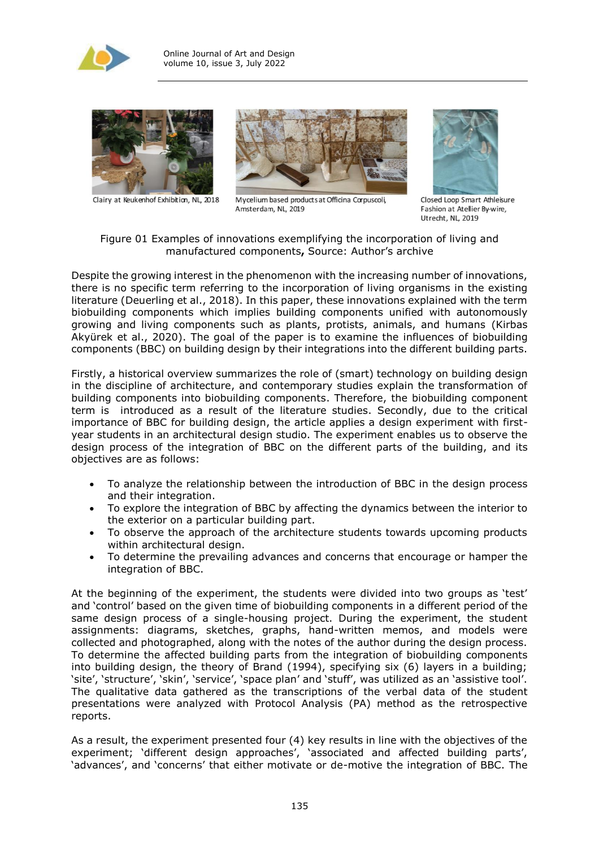



Clairy at Keukenhof Exhibition, NL, 2018



Mycelium based products at Officina Corpuscoli, Amsterdam, NL, 2019



Closed Loop Smart Athleisure Fashion at Atellier By-wire, Utrecht, NL 2019

Figure 01 Examples of innovations exemplifying the incorporation of living and manufactured components**,** Source: Author's archive

Despite the growing interest in the phenomenon with the increasing number of innovations, there is no specific term referring to the incorporation of living organisms in the existing literature (Deuerling et al., 2018). In this paper, these innovations explained with the term biobuilding components which implies building components unified with autonomously growing and living components such as plants, protists, animals, and humans (Kirbas Akyürek et al., 2020). The goal of the paper is to examine the influences of biobuilding components (BBC) on building design by their integrations into the different building parts.

Firstly, a historical overview summarizes the role of (smart) technology on building design in the discipline of architecture, and contemporary studies explain the transformation of building components into biobuilding components. Therefore, the biobuilding component term is introduced as a result of the literature studies. Secondly, due to the critical importance of BBC for building design, the article applies a design experiment with firstyear students in an architectural design studio. The experiment enables us to observe the design process of the integration of BBC on the different parts of the building, and its objectives are as follows:

- To analyze the relationship between the introduction of BBC in the design process and their integration.
- To explore the integration of BBC by affecting the dynamics between the interior to the exterior on a particular building part.
- To observe the approach of the architecture students towards upcoming products within architectural design.
- To determine the prevailing advances and concerns that encourage or hamper the integration of BBC.

At the beginning of the experiment, the students were divided into two groups as 'test' and 'control' based on the given time of biobuilding components in a different period of the same design process of a single-housing project. During the experiment, the student assignments: diagrams, sketches, graphs, hand-written memos, and models were collected and photographed, along with the notes of the author during the design process. To determine the affected building parts from the integration of biobuilding components into building design, the theory of Brand (1994), specifying six (6) layers in a building; 'site', 'structure', 'skin', 'service', 'space plan' and 'stuff', was utilized as an 'assistive tool'. The qualitative data gathered as the transcriptions of the verbal data of the student presentations were analyzed with Protocol Analysis (PA) method as the retrospective reports.

As a result, the experiment presented four (4) key results in line with the objectives of the experiment; 'different design approaches', 'associated and affected building parts', 'advances', and 'concerns' that either motivate or de-motive the integration of BBC. The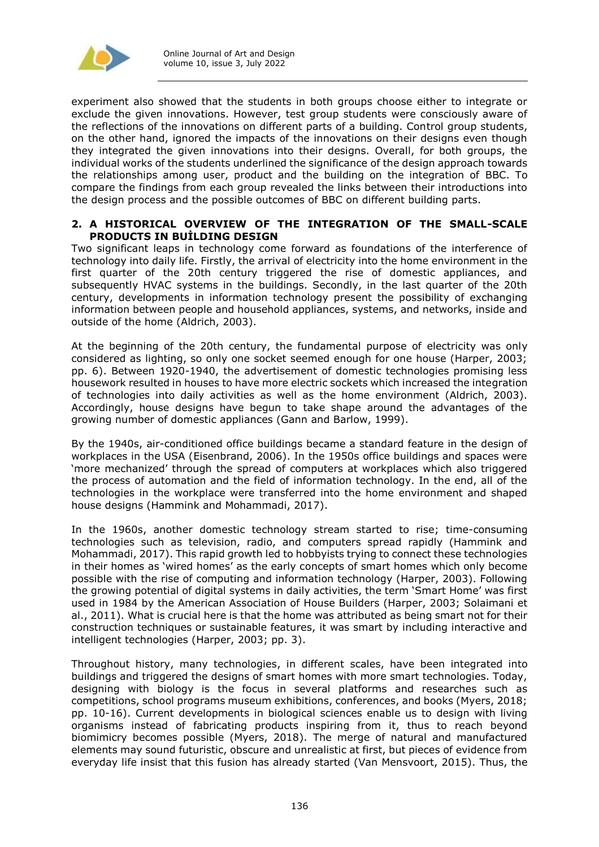

experiment also showed that the students in both groups choose either to integrate or exclude the given innovations. However, test group students were consciously aware of the reflections of the innovations on different parts of a building. Control group students, on the other hand, ignored the impacts of the innovations on their designs even though they integrated the given innovations into their designs. Overall, for both groups, the individual works of the students underlined the significance of the design approach towards the relationships among user, product and the building on the integration of BBC. To compare the findings from each group revealed the links between their introductions into the design process and the possible outcomes of BBC on different building parts.

#### **2. A HISTORICAL OVERVIEW OF THE INTEGRATION OF THE SMALL-SCALE PRODUCTS IN BUİLDING DESIGN**

Two significant leaps in technology come forward as foundations of the interference of technology into daily life. Firstly, the arrival of electricity into the home environment in the first quarter of the 20th century triggered the rise of domestic appliances, and subsequently HVAC systems in the buildings. Secondly, in the last quarter of the 20th century, developments in information technology present the possibility of exchanging information between people and household appliances, systems, and networks, inside and outside of the home (Aldrich, 2003).

At the beginning of the 20th century, the fundamental purpose of electricity was only considered as lighting, so only one socket seemed enough for one house (Harper, 2003; pp. 6). Between 1920-1940, the advertisement of domestic technologies promising less housework resulted in houses to have more electric sockets which increased the integration of technologies into daily activities as well as the home environment (Aldrich, 2003). Accordingly, house designs have begun to take shape around the advantages of the growing number of domestic appliances (Gann and Barlow, 1999).

By the 1940s, air-conditioned office buildings became a standard feature in the design of workplaces in the USA (Eisenbrand, 2006). In the 1950s office buildings and spaces were 'more mechanized' through the spread of computers at workplaces which also triggered the process of automation and the field of information technology. In the end, all of the technologies in the workplace were transferred into the home environment and shaped house designs (Hammink and Mohammadi, 2017).

In the 1960s, another domestic technology stream started to rise; time-consuming technologies such as television, radio, and computers spread rapidly (Hammink and Mohammadi, 2017). This rapid growth led to hobbyists trying to connect these technologies in their homes as 'wired homes' as the early concepts of smart homes which only become possible with the rise of computing and information technology (Harper, 2003). Following the growing potential of digital systems in daily activities, the term 'Smart Home' was first used in 1984 by the American Association of House Builders (Harper, 2003; Solaimani et al., 2011). What is crucial here is that the home was attributed as being smart not for their construction techniques or sustainable features, it was smart by including interactive and intelligent technologies (Harper, 2003; pp. 3).

Throughout history, many technologies, in different scales, have been integrated into buildings and triggered the designs of smart homes with more smart technologies. Today, designing with biology is the focus in several platforms and researches such as competitions, school programs museum exhibitions, conferences, and books (Myers, 2018; pp. 10-16). Current developments in biological sciences enable us to design with living organisms instead of fabricating products inspiring from it, thus to reach beyond biomimicry becomes possible (Myers, 2018). The merge of natural and manufactured elements may sound futuristic, obscure and unrealistic at first, but pieces of evidence from everyday life insist that this fusion has already started (Van Mensvoort, 2015). Thus, the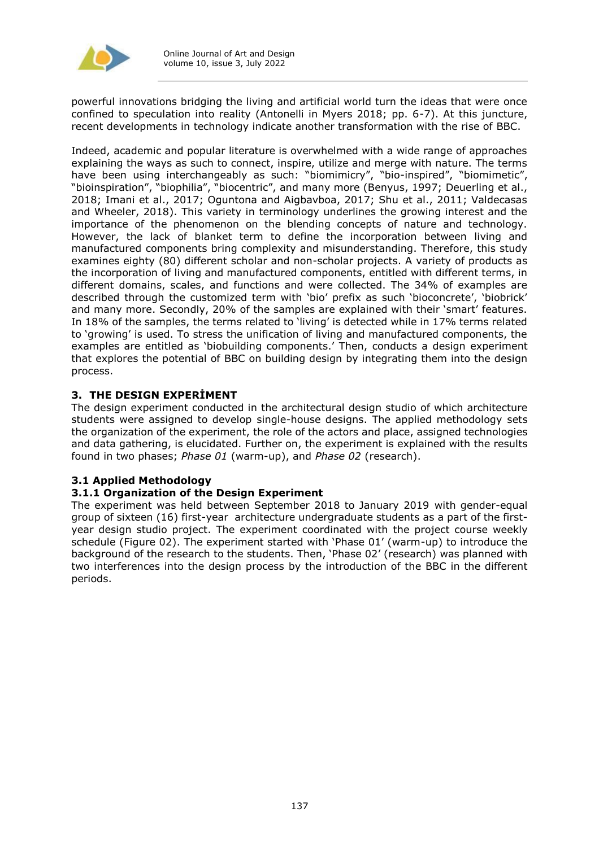

powerful innovations bridging the living and artificial world turn the ideas that were once confined to speculation into reality (Antonelli in Myers 2018; pp. 6-7). At this juncture, recent developments in technology indicate another transformation with the rise of BBC.

Indeed, academic and popular literature is overwhelmed with a wide range of approaches explaining the ways as such to connect, inspire, utilize and merge with nature. The terms have been using interchangeably as such: "biomimicry", "bio-inspired", "biomimetic", "bioinspiration", "biophilia", "biocentric", and many more (Benyus, 1997; Deuerling et al., 2018; Imani et al., 2017; Oguntona and Aigbavboa, 2017; Shu et al., 2011; Valdecasas and Wheeler, 2018). This variety in terminology underlines the growing interest and the importance of the phenomenon on the blending concepts of nature and technology. However, the lack of blanket term to define the incorporation between living and manufactured components bring complexity and misunderstanding. Therefore, this study examines eighty (80) different scholar and non-scholar projects. A variety of products as the incorporation of living and manufactured components, entitled with different terms, in different domains, scales, and functions and were collected. The 34% of examples are described through the customized term with 'bio' prefix as such 'bioconcrete', 'biobrick' and many more. Secondly, 20% of the samples are explained with their 'smart' features. In 18% of the samples, the terms related to 'living' is detected while in 17% terms related to 'growing' is used. To stress the unification of living and manufactured components, the examples are entitled as 'biobuilding components.' Then, conducts a design experiment that explores the potential of BBC on building design by integrating them into the design process.

## **3. THE DESIGN EXPERİMENT**

The design experiment conducted in the architectural design studio of which architecture students were assigned to develop single-house designs. The applied methodology sets the organization of the experiment, the role of the actors and place, assigned technologies and data gathering, is elucidated. Further on, the experiment is explained with the results found in two phases; *Phase 01* (warm-up), and *Phase 02* (research).

## **3.1 Applied Methodology**

#### **3.1.1 Organization of the Design Experiment**

The experiment was held between September 2018 to January 2019 with gender-equal group of sixteen (16) first-year architecture undergraduate students as a part of the firstyear design studio project. The experiment coordinated with the project course weekly schedule (Figure 02). The experiment started with 'Phase 01' (warm-up) to introduce the background of the research to the students. Then, 'Phase 02' (research) was planned with two interferences into the design process by the introduction of the BBC in the different periods.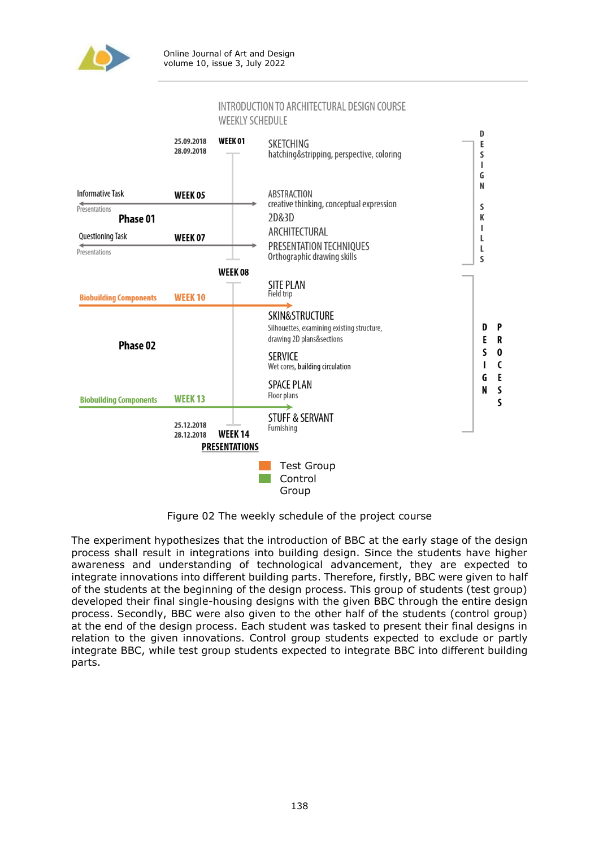

#### INTRODUCTION TO ARCHITECTURAL DESIGN COURSE **WEEKLY SCHEDULE**



Figure 02 The weekly schedule of the project course

The experiment hypothesizes that the introduction of BBC at the early stage of the design process shall result in integrations into building design. Since the students have higher awareness and understanding of technological advancement, they are expected to integrate innovations into different building parts. Therefore, firstly, BBC were given to half of the students at the beginning of the design process. This group of students (test group) developed their final single-housing designs with the given BBC through the entire design process. Secondly, BBC were also given to the other half of the students (control group) at the end of the design process. Each student was tasked to present their final designs in relation to the given innovations. Control group students expected to exclude or partly integrate BBC, while test group students expected to integrate BBC into different building parts.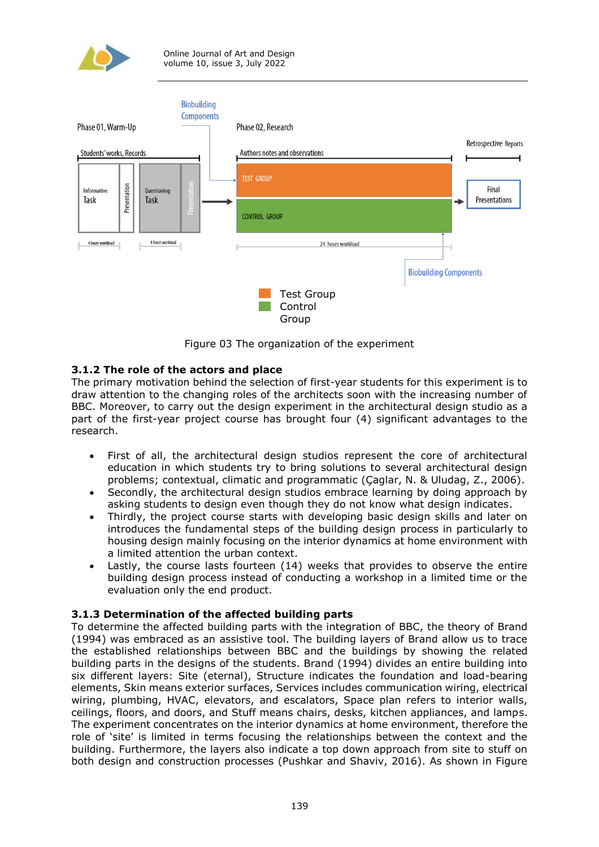



Figure 03 The organization of the experiment

## **3.1.2 The role of the actors and place**

The primary motivation behind the selection of first-year students for this experiment is to draw attention to the changing roles of the architects soon with the increasing number of BBC. Moreover, to carry out the design experiment in the architectural design studio as a part of the first-year project course has brought four (4) significant advantages to the research.

- First of all, the architectural design studios represent the core of architectural education in which students try to bring solutions to several architectural design problems; contextual, climatic and programmatic (Çaglar, N. & Uludag, Z., 2006).
- Secondly, the architectural design studios embrace learning by doing approach by asking students to design even though they do not know what design indicates.
- Thirdly, the project course starts with developing basic design skills and later on introduces the fundamental steps of the building design process in particularly to housing design mainly focusing on the interior dynamics at home environment with a limited attention the urban context.
- Lastly, the course lasts fourteen (14) weeks that provides to observe the entire building design process instead of conducting a workshop in a limited time or the evaluation only the end product.

## **3.1.3 Determination of the affected building parts**

To determine the affected building parts with the integration of BBC, the theory of Brand (1994) was embraced as an assistive tool. The building layers of Brand allow us to trace the established relationships between BBC and the buildings by showing the related building parts in the designs of the students. Brand (1994) divides an entire building into six different layers: Site (eternal), Structure indicates the foundation and load-bearing elements, Skin means exterior surfaces, Services includes communication wiring, electrical wiring, plumbing, HVAC, elevators, and escalators, Space plan refers to interior walls, ceilings, floors, and doors, and Stuff means chairs, desks, kitchen appliances, and lamps. The experiment concentrates on the interior dynamics at home environment, therefore the role of 'site' is limited in terms focusing the relationships between the context and the building. Furthermore, the layers also indicate a top down approach from site to stuff on both design and construction processes (Pushkar and Shaviv, 2016). As shown in Figure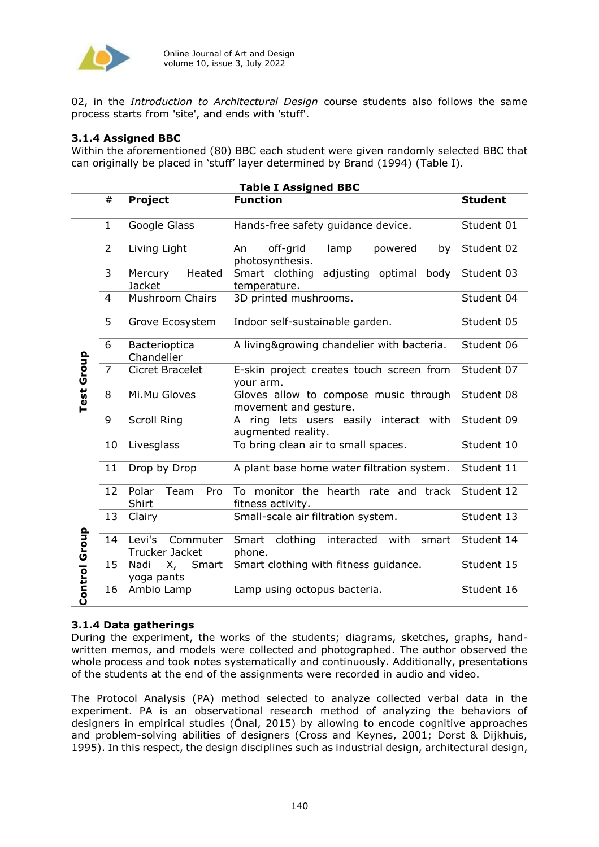

02, in the *Introduction to Architectural Design* course students also follows the same process starts from 'site', and ends with 'stuff'.

## **3.1.4 Assigned BBC**

Within the aforementioned (80) BBC each student were given randomly selected BBC that can originally be placed in 'stuff' layer determined by Brand (1994) (Table I).

| <b>Table I Assigned BBC</b> |                 |                                    |                                                                |                |
|-----------------------------|-----------------|------------------------------------|----------------------------------------------------------------|----------------|
|                             | #               | Project                            | <b>Function</b>                                                | <b>Student</b> |
|                             | $\mathbf{1}$    | Google Glass                       | Hands-free safety guidance device.                             | Student 01     |
| <b>Test Group</b>           | $\overline{2}$  | Living Light                       | off-grid<br>An<br>lamp<br>powered<br>by<br>photosynthesis.     | Student 02     |
|                             | $\overline{3}$  | Heated<br>Mercury<br><b>Jacket</b> | body<br>Smart clothing<br>adjusting optimal<br>temperature.    | Student 03     |
|                             | $\overline{4}$  | Mushroom Chairs                    | 3D printed mushrooms.                                          | Student 04     |
|                             | 5               | Grove Ecosystem                    | Indoor self-sustainable garden.                                | Student 05     |
|                             | 6               | Bacterioptica<br>Chandelier        | A living&growing chandelier with bacteria.                     | Student 06     |
|                             | $\overline{7}$  | Cicret Bracelet                    | E-skin project creates touch screen from<br>your arm.          | Student 07     |
|                             | 8               | Mi.Mu Gloves                       | Gloves allow to compose music through<br>movement and gesture. | Student 08     |
|                             | 9               | <b>Scroll Ring</b>                 | A ring lets users easily interact with<br>augmented reality.   | Student 09     |
| Control Group               | 10              | Livesglass                         | To bring clean air to small spaces.                            | Student 10     |
|                             | 11              | Drop by Drop                       | A plant base home water filtration system.                     | Student 11     |
|                             | 12 <sup>7</sup> | Polar<br>Team<br>Pro<br>Shirt      | To monitor the hearth rate and track<br>fitness activity.      | Student 12     |
|                             | 13              | Clairy                             | Small-scale air filtration system.                             | Student 13     |
|                             | 14              | Levi's Commuter<br>Trucker Jacket  | Smart<br>clothing<br>interacted with<br>smart<br>phone.        | Student 14     |
|                             | 15              | Nadi<br>X,<br>Smart<br>yoga pants  | Smart clothing with fitness guidance.                          | Student 15     |
|                             | 16              | Ambio Lamp                         | Lamp using octopus bacteria.                                   | Student 16     |

## **3.1.4 Data gatherings**

During the experiment, the works of the students; diagrams, sketches, graphs, handwritten memos, and models were collected and photographed. The author observed the whole process and took notes systematically and continuously. Additionally, presentations of the students at the end of the assignments were recorded in audio and video.

The Protocol Analysis (PA) method selected to analyze collected verbal data in the experiment. PA is an observational research method of analyzing the behaviors of designers in empirical studies (Önal, 2015) by allowing to encode cognitive approaches and problem-solving abilities of designers (Cross and Keynes, 2001; Dorst & Dijkhuis, 1995). In this respect, the design disciplines such as industrial design, architectural design,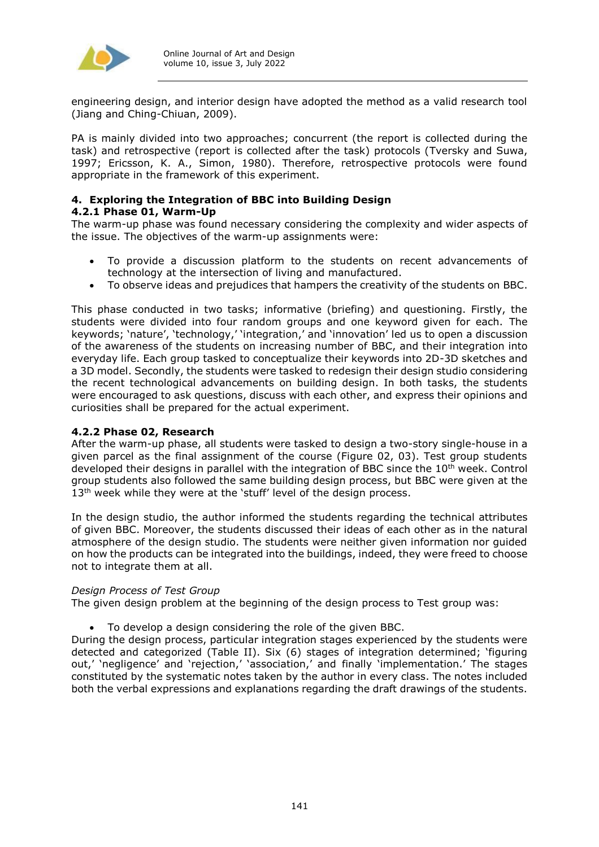

engineering design, and interior design have adopted the method as a valid research tool (Jiang and Ching-Chiuan, 2009).

PA is mainly divided into two approaches; concurrent (the report is collected during the task) and retrospective (report is collected after the task) protocols (Tversky and Suwa, 1997; Ericsson, K. A., Simon, 1980). Therefore, retrospective protocols were found appropriate in the framework of this experiment.

#### **4. Exploring the Integration of BBC into Building Design 4.2.1 Phase 01, Warm-Up**

The warm-up phase was found necessary considering the complexity and wider aspects of the issue. The objectives of the warm-up assignments were:

- To provide a discussion platform to the students on recent advancements of technology at the intersection of living and manufactured.
- To observe ideas and prejudices that hampers the creativity of the students on BBC.

This phase conducted in two tasks; informative (briefing) and questioning. Firstly, the students were divided into four random groups and one keyword given for each. The keywords; 'nature', 'technology,' 'integration,' and 'innovation' led us to open a discussion of the awareness of the students on increasing number of BBC, and their integration into everyday life. Each group tasked to conceptualize their keywords into 2D-3D sketches and a 3D model. Secondly, the students were tasked to redesign their design studio considering the recent technological advancements on building design. In both tasks, the students were encouraged to ask questions, discuss with each other, and express their opinions and curiosities shall be prepared for the actual experiment.

#### **4.2.2 Phase 02, Research**

After the warm-up phase, all students were tasked to design a two-story single-house in a given parcel as the final assignment of the course (Figure 02, 03). Test group students developed their designs in parallel with the integration of BBC since the 10<sup>th</sup> week. Control group students also followed the same building design process, but BBC were given at the 13<sup>th</sup> week while they were at the 'stuff' level of the design process.

In the design studio, the author informed the students regarding the technical attributes of given BBC. Moreover, the students discussed their ideas of each other as in the natural atmosphere of the design studio. The students were neither given information nor guided on how the products can be integrated into the buildings, indeed, they were freed to choose not to integrate them at all.

#### *Design Process of Test Group*

The given design problem at the beginning of the design process to Test group was:

To develop a design considering the role of the given BBC.

During the design process, particular integration stages experienced by the students were detected and categorized (Table II). Six (6) stages of integration determined; 'figuring out,' 'negligence' and 'rejection,' 'association,' and finally 'implementation.' The stages constituted by the systematic notes taken by the author in every class. The notes included both the verbal expressions and explanations regarding the draft drawings of the students.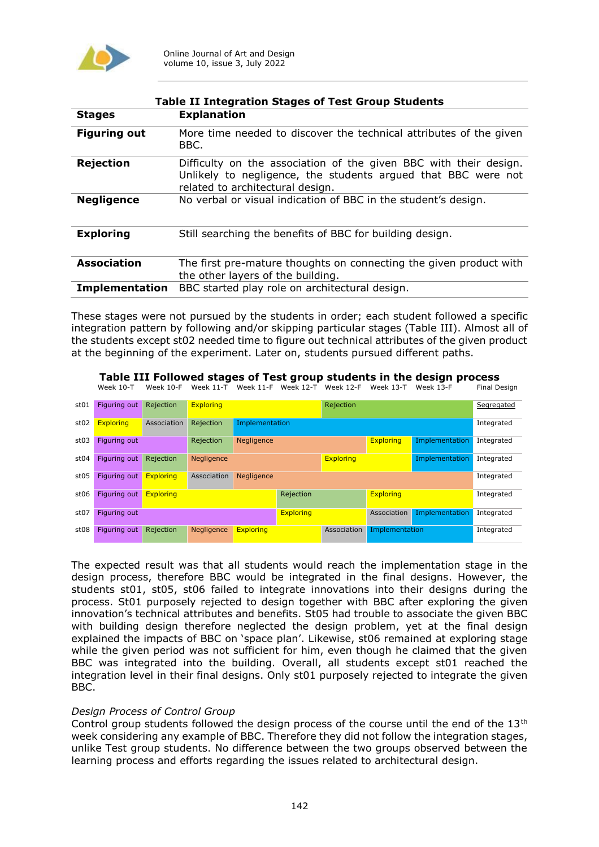

| <b>Table II Integration Stages of Test Group Students</b> |                                                                                                                                                                        |  |  |  |
|-----------------------------------------------------------|------------------------------------------------------------------------------------------------------------------------------------------------------------------------|--|--|--|
| <b>Stages</b>                                             | <b>Explanation</b>                                                                                                                                                     |  |  |  |
| <b>Figuring out</b>                                       | More time needed to discover the technical attributes of the given<br>BBC.                                                                                             |  |  |  |
| <b>Rejection</b>                                          | Difficulty on the association of the given BBC with their design.<br>Unlikely to negligence, the students argued that BBC were not<br>related to architectural design. |  |  |  |
| <b>Negligence</b>                                         | No verbal or visual indication of BBC in the student's design.                                                                                                         |  |  |  |
| <b>Exploring</b>                                          | Still searching the benefits of BBC for building design.                                                                                                               |  |  |  |
| <b>Association</b>                                        | The first pre-mature thoughts on connecting the given product with<br>the other layers of the building.                                                                |  |  |  |
| <b>Implementation</b>                                     | BBC started play role on architectural design.                                                                                                                         |  |  |  |

These stages were not pursued by the students in order; each student followed a specific integration pattern by following and/or skipping particular stages (Table III). Almost all of the students except st02 needed time to figure out technical attributes of the given product at the beginning of the experiment. Later on, students pursued different paths.

# **Table III Followed stages of Test group students in the design process**

Week 10-T Week 10-F Week 11-T Week 11-F Week 12-T Week 12-F Week 13-T Week 13-F

| st01             | Figuring out        | Rejection        | <b>Exploring</b> |                                                         |                               | Rejection   |                |                | Segregated |
|------------------|---------------------|------------------|------------------|---------------------------------------------------------|-------------------------------|-------------|----------------|----------------|------------|
| st02             | <b>Exploring</b>    | Association      | Rejection        | Implementation                                          |                               |             | Integrated     |                |            |
| st03             | Figuring out        |                  | Rejection        | Implementation<br><b>Exploring</b><br><b>Negligence</b> |                               |             | Integrated     |                |            |
| st04             | Figuring out        | Rejection        | Negligence       | <b>Exploring</b><br>Implementation                      |                               |             | Integrated     |                |            |
| st05             | Figuring out        | <b>Exploring</b> | Association      | <b>Negligence</b>                                       |                               |             | Integrated     |                |            |
| st <sub>06</sub> | <b>Figuring out</b> | <b>Exploring</b> |                  |                                                         | <b>Exploring</b><br>Rejection |             |                | Integrated     |            |
| st <sub>07</sub> | Figuring out        |                  |                  |                                                         | <b>Exploring</b>              |             | Association    | Implementation | Integrated |
| st <sub>08</sub> | Figuring out        | Rejection        | Negligence       | <b>Exploring</b>                                        |                               | Association | Implementation |                | Integrated |

The expected result was that all students would reach the implementation stage in the design process, therefore BBC would be integrated in the final designs. However, the students st01, st05, st06 failed to integrate innovations into their designs during the process. St01 purposely rejected to design together with BBC after exploring the given innovation's technical attributes and benefits. St05 had trouble to associate the given BBC with building design therefore neglected the design problem, yet at the final design explained the impacts of BBC on 'space plan'. Likewise, st06 remained at exploring stage while the given period was not sufficient for him, even though he claimed that the given BBC was integrated into the building. Overall, all students except st01 reached the integration level in their final designs. Only st01 purposely rejected to integrate the given BBC.

#### *Design Process of Control Group*

Control group students followed the design process of the course until the end of the  $13<sup>th</sup>$ week considering any example of BBC. Therefore they did not follow the integration stages, unlike Test group students. No difference between the two groups observed between the learning process and efforts regarding the issues related to architectural design.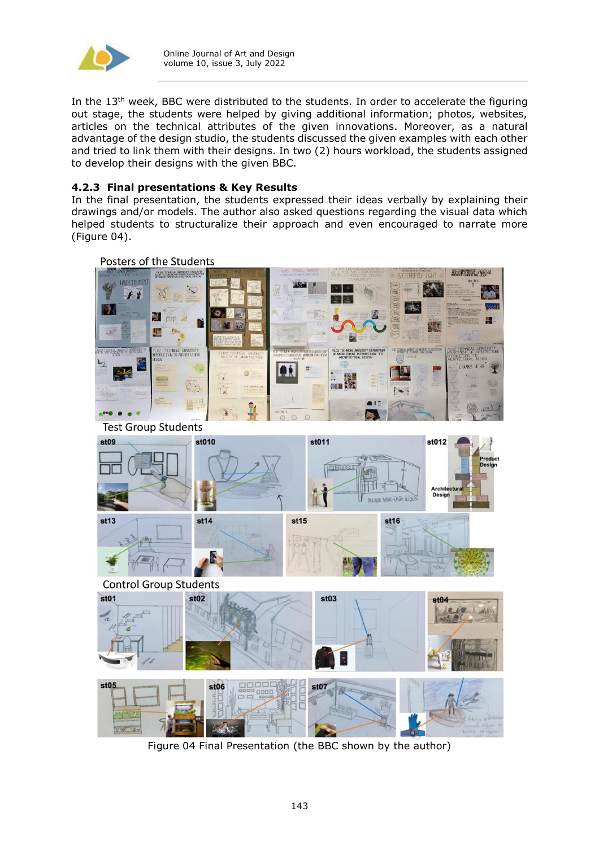

In the  $13<sup>th</sup>$  week, BBC were distributed to the students. In order to accelerate the figuring out stage, the students were helped by giving additional information; photos, websites, articles on the technical attributes of the given innovations. Moreover, as a natural advantage of the design studio, the students discussed the given examples with each other and tried to link them with their designs. In two (2) hours workload, the students assigned to develop their designs with the given BBC.

## **4.2.3 Final presentations & Key Results**

In the final presentation, the students expressed their ideas verbally by explaining their drawings and/or models. The author also asked questions regarding the visual data which helped students to structuralize their approach and even encouraged to narrate more (Figure 04).



Figure 04 Final Presentation (the BBC shown by the author)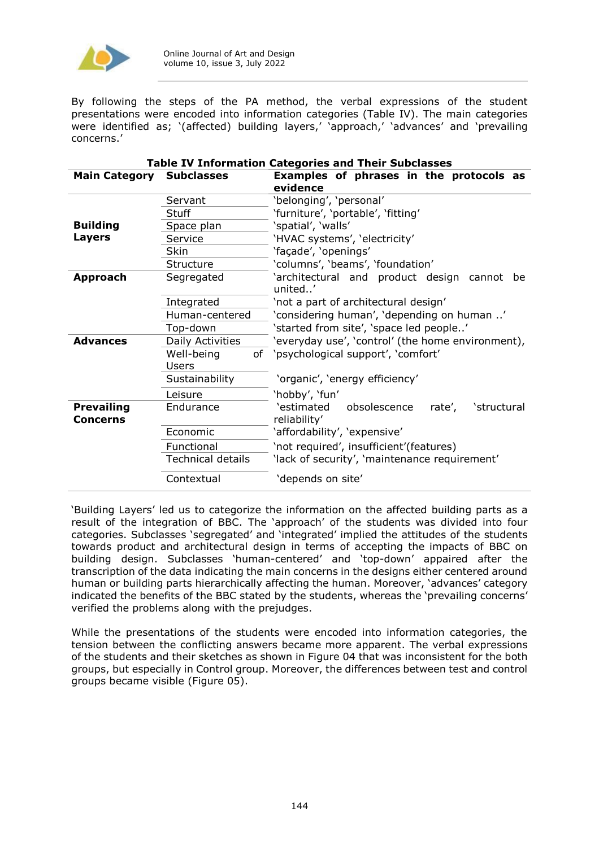

By following the steps of the PA method, the verbal expressions of the student presentations were encoded into information categories (Table IV). The main categories were identified as; '(affected) building layers,' 'approach,' 'advances' and 'prevailing concerns.'

| Table IV Information Categories and Their Subclasses |                          |                                                                     |  |  |  |
|------------------------------------------------------|--------------------------|---------------------------------------------------------------------|--|--|--|
| <b>Main Category</b>                                 | <b>Subclasses</b>        | Examples of phrases in the protocols as<br>evidence                 |  |  |  |
|                                                      | Servant                  | 'belonging', 'personal'                                             |  |  |  |
|                                                      | <b>Stuff</b>             | 'furniture', 'portable', 'fitting'                                  |  |  |  |
| <b>Building</b>                                      | Space plan               | 'spatial', 'walls'                                                  |  |  |  |
| <b>Layers</b>                                        | Service                  | 'HVAC systems', 'electricity'                                       |  |  |  |
|                                                      | Skin                     | 'façade', 'openings'                                                |  |  |  |
|                                                      | Structure                | 'columns', 'beams', 'foundation'                                    |  |  |  |
| <b>Approach</b>                                      | Segregated               | 'architectural and product design cannot be<br>united'              |  |  |  |
|                                                      | Integrated               | 'not a part of architectural design'                                |  |  |  |
|                                                      | Human-centered           | 'considering human', 'depending on human '                          |  |  |  |
|                                                      | Top-down                 | 'started from site', 'space led people'                             |  |  |  |
| <b>Advances</b>                                      | Daily Activities         | 'everyday use', 'control' (the home environment),                   |  |  |  |
|                                                      | Well-being<br>Users      | of 'psychological support', 'comfort'                               |  |  |  |
|                                                      | Sustainability           | 'organic', 'energy efficiency'                                      |  |  |  |
|                                                      | Leisure                  | 'hobby', 'fun'                                                      |  |  |  |
| <b>Prevailing</b><br><b>Concerns</b>                 | Endurance                | 'estimated<br>obsolescence<br>rate',<br>'structural<br>reliability' |  |  |  |
|                                                      | Economic                 | 'affordability', 'expensive'                                        |  |  |  |
|                                                      | Functional               | 'not required', insufficient'(features)                             |  |  |  |
|                                                      | <b>Technical details</b> | 'lack of security', 'maintenance requirement'                       |  |  |  |
|                                                      | Contextual               | 'depends on site'                                                   |  |  |  |

# **Table IV Information Categories and Their Subclasses**

'Building Layers' led us to categorize the information on the affected building parts as a result of the integration of BBC. The 'approach' of the students was divided into four categories. Subclasses 'segregated' and 'integrated' implied the attitudes of the students towards product and architectural design in terms of accepting the impacts of BBC on building design. Subclasses 'human-centered' and 'top-down' appaired after the transcription of the data indicating the main concerns in the designs either centered around human or building parts hierarchically affecting the human. Moreover, 'advances' category indicated the benefits of the BBC stated by the students, whereas the 'prevailing concerns' verified the problems along with the prejudges.

While the presentations of the students were encoded into information categories, the tension between the conflicting answers became more apparent. The verbal expressions of the students and their sketches as shown in Figure 04 that was inconsistent for the both groups, but especially in Control group. Moreover, the differences between test and control groups became visible (Figure 05).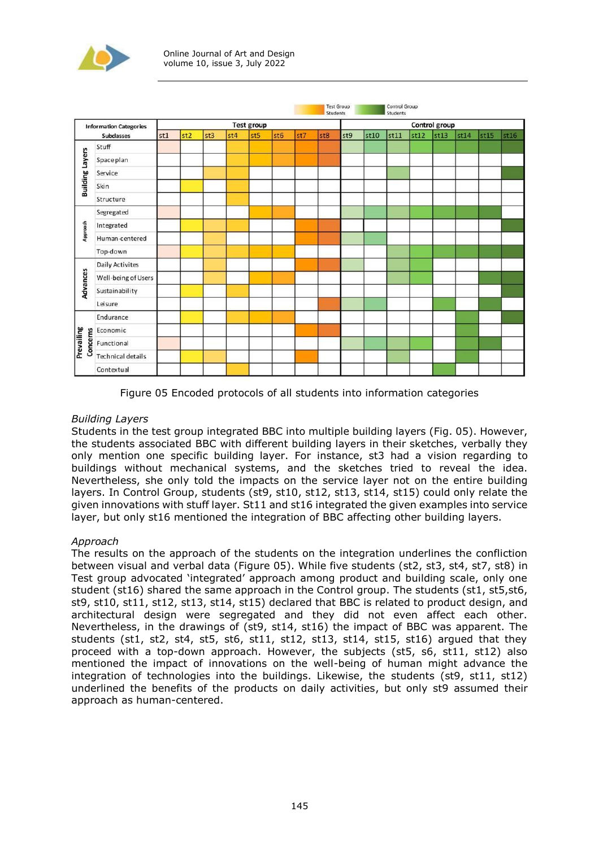



Figure 05 Encoded protocols of all students into information categories

## *Building Layers*

Students in the test group integrated BBC into multiple building layers (Fig. 05). However, the students associated BBC with different building layers in their sketches, verbally they only mention one specific building layer. For instance, st3 had a vision regarding to buildings without mechanical systems, and the sketches tried to reveal the idea. Nevertheless, she only told the impacts on the service layer not on the entire building layers. In Control Group, students (st9, st10, st12, st13, st14, st15) could only relate the given innovations with stuff layer. St11 and st16 integrated the given examples into service layer, but only st16 mentioned the integration of BBC affecting other building layers.

## *Approach*

The results on the approach of the students on the integration underlines the confliction between visual and verbal data (Figure 05). While five students (st2, st3, st4, st7, st8) in Test group advocated 'integrated' approach among product and building scale, only one student (st16) shared the same approach in the Control group. The students (st1, st5,st6, st9, st10, st11, st12, st13, st14, st15) declared that BBC is related to product design, and architectural design were segregated and they did not even affect each other. Nevertheless, in the drawings of (st9, st14, st16) the impact of BBC was apparent. The students (st1, st2, st4, st5, st6, st11, st12, st13, st14, st15, st16) argued that they proceed with a top-down approach. However, the subjects (st5, s6, st11, st12) also mentioned the impact of innovations on the well-being of human might advance the integration of technologies into the buildings. Likewise, the students (st9, st11, st12) underlined the benefits of the products on daily activities, but only st9 assumed their approach as human-centered.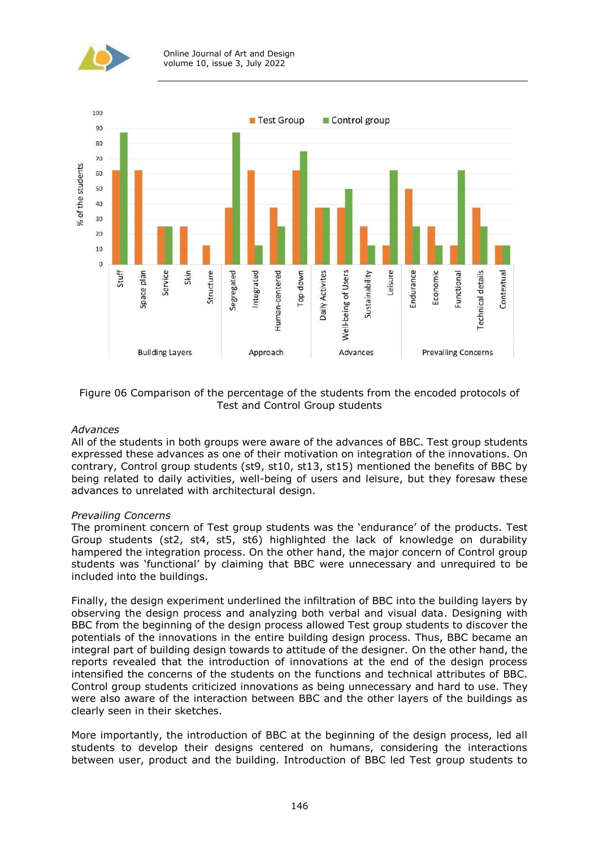



#### Figure 06 Comparison of the percentage of the students from the encoded protocols of Test and Control Group students

#### *Advances*

All of the students in both groups were aware of the advances of BBC. Test group students expressed these advances as one of their motivation on integration of the innovations. On contrary, Control group students (st9, st10, st13, st15) mentioned the benefits of BBC by being related to daily activities, well-being of users and leisure, but they foresaw these advances to unrelated with architectural design.

#### *Prevailing Concerns*

The prominent concern of Test group students was the 'endurance' of the products. Test Group students (st2, st4, st5, st6) highlighted the lack of knowledge on durability hampered the integration process. On the other hand, the major concern of Control group students was 'functional' by claiming that BBC were unnecessary and unrequired to be included into the buildings.

Finally, the design experiment underlined the infiltration of BBC into the building layers by observing the design process and analyzing both verbal and visual data. Designing with BBC from the beginning of the design process allowed Test group students to discover the potentials of the innovations in the entire building design process. Thus, BBC became an integral part of building design towards to attitude of the designer. On the other hand, the reports revealed that the introduction of innovations at the end of the design process intensified the concerns of the students on the functions and technical attributes of BBC. Control group students criticized innovations as being unnecessary and hard to use. They were also aware of the interaction between BBC and the other layers of the buildings as clearly seen in their sketches.

More importantly, the introduction of BBC at the beginning of the design process, led all students to develop their designs centered on humans, considering the interactions between user, product and the building. Introduction of BBC led Test group students to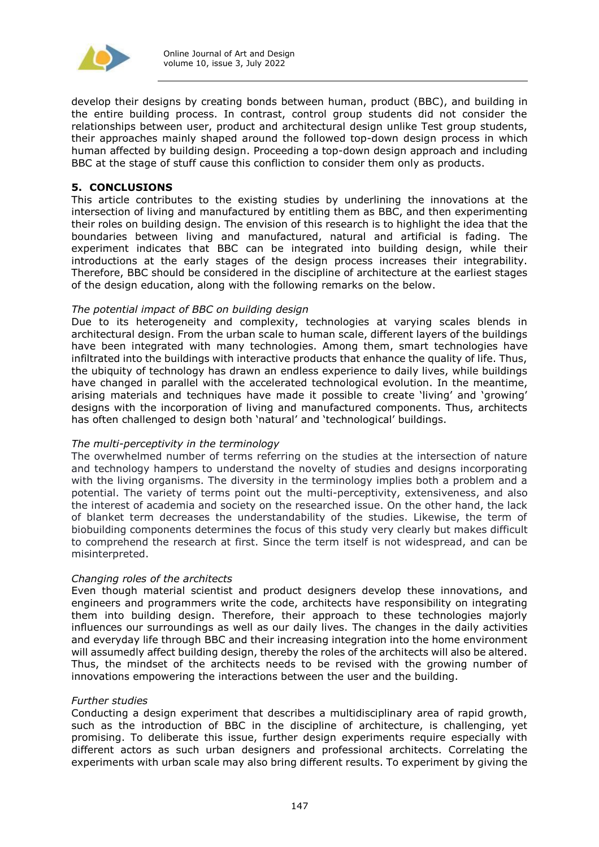

develop their designs by creating bonds between human, product (BBC), and building in the entire building process. In contrast, control group students did not consider the relationships between user, product and architectural design unlike Test group students, their approaches mainly shaped around the followed top-down design process in which human affected by building design. Proceeding a top-down design approach and including BBC at the stage of stuff cause this confliction to consider them only as products.

#### **5. CONCLUSIONS**

This article contributes to the existing studies by underlining the innovations at the intersection of living and manufactured by entitling them as BBC, and then experimenting their roles on building design. The envision of this research is to highlight the idea that the boundaries between living and manufactured, natural and artificial is fading. The experiment indicates that BBC can be integrated into building design, while their introductions at the early stages of the design process increases their integrability. Therefore, BBC should be considered in the discipline of architecture at the earliest stages of the design education, along with the following remarks on the below.

#### *The potential impact of BBC on building design*

Due to its heterogeneity and complexity, technologies at varying scales blends in architectural design. From the urban scale to human scale, different layers of the buildings have been integrated with many technologies. Among them, smart technologies have infiltrated into the buildings with interactive products that enhance the quality of life. Thus, the ubiquity of technology has drawn an endless experience to daily lives, while buildings have changed in parallel with the accelerated technological evolution. In the meantime, arising materials and techniques have made it possible to create 'living' and 'growing' designs with the incorporation of living and manufactured components. Thus, architects has often challenged to design both 'natural' and 'technological' buildings.

#### *The multi-perceptivity in the terminology*

The overwhelmed number of terms referring on the studies at the intersection of nature and technology hampers to understand the novelty of studies and designs incorporating with the living organisms. The diversity in the terminology implies both a problem and a potential. The variety of terms point out the multi-perceptivity, extensiveness, and also the interest of academia and society on the researched issue. On the other hand, the lack of blanket term decreases the understandability of the studies. Likewise, the term of biobuilding components determines the focus of this study very clearly but makes difficult to comprehend the research at first. Since the term itself is not widespread, and can be misinterpreted.

#### *Changing roles of the architects*

Even though material scientist and product designers develop these innovations, and engineers and programmers write the code, architects have responsibility on integrating them into building design. Therefore, their approach to these technologies majorly influences our surroundings as well as our daily lives. The changes in the daily activities and everyday life through BBC and their increasing integration into the home environment will assumedly affect building design, thereby the roles of the architects will also be altered. Thus, the mindset of the architects needs to be revised with the growing number of innovations empowering the interactions between the user and the building.

#### *Further studies*

Conducting a design experiment that describes a multidisciplinary area of rapid growth, such as the introduction of BBC in the discipline of architecture, is challenging, yet promising. To deliberate this issue, further design experiments require especially with different actors as such urban designers and professional architects. Correlating the experiments with urban scale may also bring different results. To experiment by giving the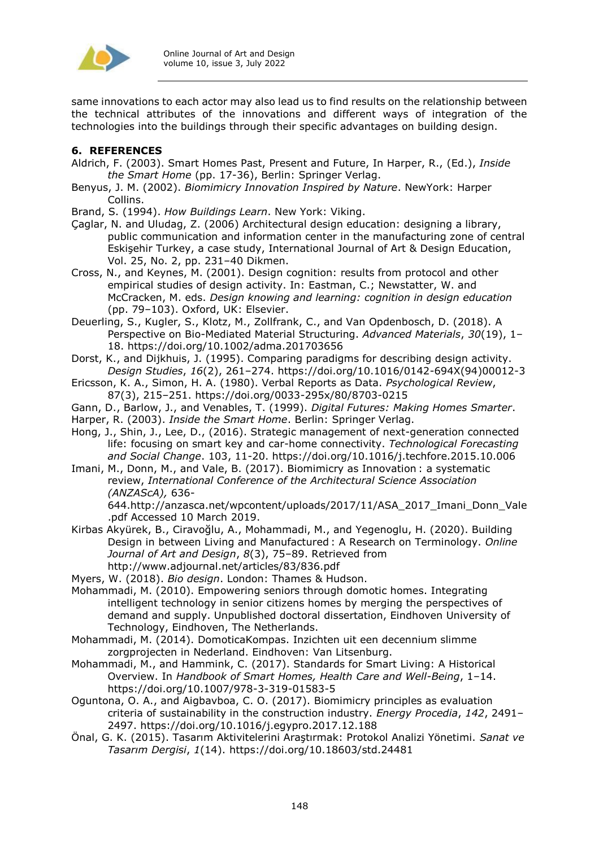

same innovations to each actor may also lead us to find results on the relationship between the technical attributes of the innovations and different ways of integration of the technologies into the buildings through their specific advantages on building design.

### **6. REFERENCES**

- Aldrich, F. (2003). Smart Homes Past, Present and Future, In Harper, R., (Ed.), *Inside the Smart Home* (pp. 17-36), Berlin: Springer Verlag.
- Benyus, J. M. (2002). *Biomimicry Innovation Inspired by Nature*. NewYork: Harper Collins.

Brand, S. (1994). *How Buildings Learn*. New York: Viking.

- Çaglar, N. and Uludag, Z. (2006) Architectural design education: designing a library, public communication and information center in the manufacturing zone of central Eskişehir Turkey, a case study, International Journal of Art & Design Education, Vol. 25, No. 2, pp. 231–40 Dikmen.
- Cross, N., and Keynes, M. (2001). Design cognition: results from protocol and other empirical studies of design activity. In: Eastman, C.; Newstatter, W. and McCracken, M. eds. *Design knowing and learning: cognition in design education* (pp. 79–103). Oxford, UK: Elsevier.
- Deuerling, S., Kugler, S., Klotz, M., Zollfrank, C., and Van Opdenbosch, D. (2018). A Perspective on Bio-Mediated Material Structuring. *Advanced Materials*, *30*(19), 1– 18. https://doi.org/10.1002/adma.201703656
- Dorst, K., and Dijkhuis, J. (1995). Comparing paradigms for describing design activity. *Design Studies*, *16*(2), 261–274. https://doi.org/10.1016/0142-694X(94)00012-3
- Ericsson, K. A., Simon, H. A. (1980). Verbal Reports as Data. *Psychological Review*, 87(3), 215–251. https://doi.org/0033-295x/80/8703-0215
- Gann, D., Barlow, J., and Venables, T. (1999). *Digital Futures: Making Homes Smarter*.
- Harper, R. (2003). *Inside the Smart Home*. Berlin: Springer Verlag.
- Hong, J., Shin, J., Lee, D., (2016). Strategic management of next-generation connected life: focusing on smart key and car-home connectivity. *Technological Forecasting and Social Change*. 103, 11-20. https://doi.org/10.1016/j.techfore.2015.10.006
- Imani, M., Donn, M., and Vale, B. (2017). Biomimicry as Innovation : a systematic review, *International Conference of the Architectural Science Association (ANZAScA),* 636-

644.http://anzasca.net/wpcontent/uploads/2017/11/ASA\_2017\_Imani\_Donn\_Vale .pdf Accessed 10 March 2019.

- Kirbas Akyürek, B., Ciravoğlu, A., Mohammadi, M., and Yegenoglu, H. (2020). Building Design in between Living and Manufactured : A Research on Terminology. *Online Journal of Art and Design*, *8*(3), 75–89. Retrieved from http://www.adjournal.net/articles/83/836.pdf
- Myers, W. (2018). *Bio design*. London: Thames & Hudson.
- Mohammadi, M. (2010). Empowering seniors through domotic homes. Integrating intelligent technology in senior citizens homes by merging the perspectives of demand and supply. Unpublished doctoral dissertation, Eindhoven University of Technology, Eindhoven, The Netherlands.
- Mohammadi, M. (2014). DomoticaKompas. Inzichten uit een decennium slimme zorgprojecten in Nederland. Eindhoven: Van Litsenburg.
- Mohammadi, M., and Hammink, C. (2017). Standards for Smart Living: A Historical Overview. In *Handbook of Smart Homes, Health Care and Well-Being*, 1–14. https://doi.org/10.1007/978-3-319-01583-5
- Oguntona, O. A., and Aigbavboa, C. O. (2017). Biomimicry principles as evaluation criteria of sustainability in the construction industry. *Energy Procedia*, *142*, 2491– 2497. https://doi.org/10.1016/j.egypro.2017.12.188
- Önal, G. K. (2015). Tasarım Aktivitelerini Araştırmak: Protokol Analizi Yönetimi. *Sanat ve Tasarım Dergisi*, *1*(14). https://doi.org/10.18603/std.24481